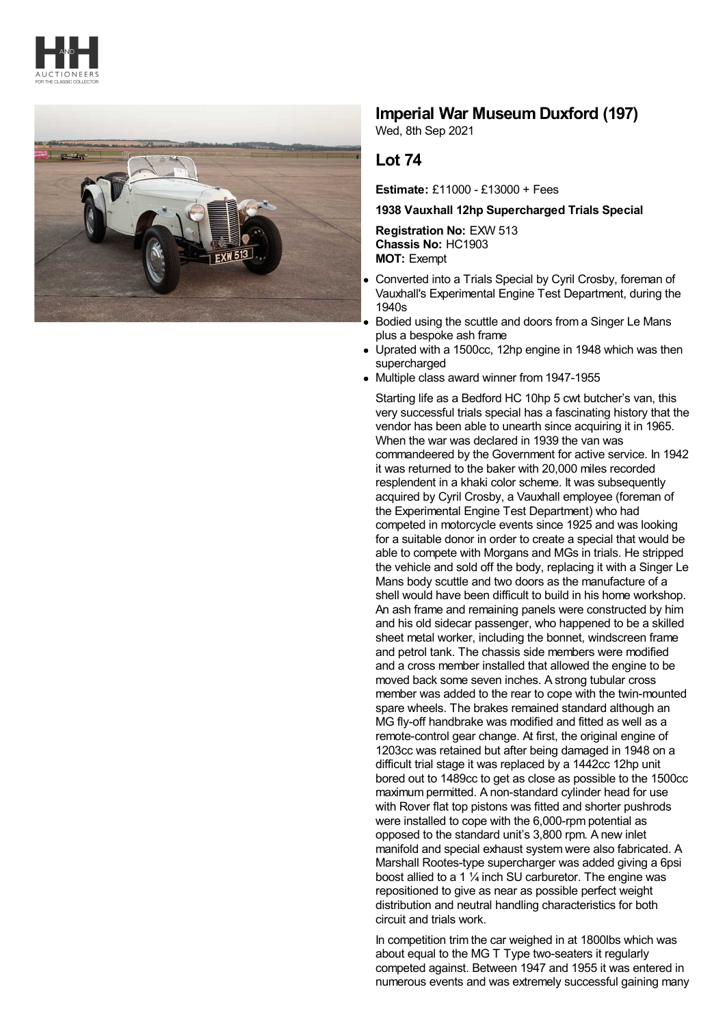



## **Imperial War Museum Duxford (197)**

Wed, 8th Sep 2021

## **Lot 74**

**Estimate:** £11000 - £13000 + Fees

## **1938 Vauxhall 12hp Supercharged Trials Special**

**Registration No:** EXW 513 **Chassis No:** HC1903 **MOT:** Exempt

- Converted into a Trials Special by Cyril Crosby, foreman of Vauxhall's Experimental Engine Test Department, during the 1940s
- Bodied using the scuttle and doors from a Singer Le Mans plus a bespoke ash frame
- Uprated with a 1500cc, 12hp engine in 1948 which was then  $\bullet$ supercharged
- Multiple class award winner from 1947-1955

Starting life as a Bedford HC 10hp 5 cwt butcher's van, this very successful trials special has a fascinating history that the vendor has been able to unearth since acquiring it in 1965. When the war was declared in 1939 the van was commandeered by the Government for active service. In 1942 it was returned to the baker with 20,000 miles recorded resplendent in a khaki color scheme. It was subsequently acquired by Cyril Crosby, a Vauxhall employee (foreman of the Experimental Engine Test Department) who had competed in motorcycle events since 1925 and was looking for a suitable donor in order to create a special that would be able to compete with Morgans and MGs in trials. He stripped the vehicle and sold off the body, replacing it with a Singer Le Mans body scuttle and two doors as the manufacture of a shell would have been difficult to build in his home workshop. An ash frame and remaining panels were constructed by him and his old sidecar passenger, who happened to be a skilled sheet metal worker, including the bonnet, windscreen frame and petrol tank. The chassis side members were modified and a cross member installed that allowed the engine to be moved back some seven inches. A strong tubular cross member was added to the rear to cope with the twin-mounted spare wheels. The brakes remained standard although an MG fly-off handbrake was modified and fitted as well as a remote-control gear change. At first, the original engine of 1203cc was retained but after being damaged in 1948 on a difficult trial stage it was replaced by a 1442cc 12hp unit bored out to 1489cc to get as close as possible to the 1500cc maximum permitted. A non-standard cylinder head for use with Rover flat top pistons was fitted and shorter pushrods were installed to cope with the 6,000-rpm potential as opposed to the standard unit's 3,800 rpm. A new inlet manifold and special exhaust system were also fabricated. A Marshall Rootes-type supercharger was added giving a 6psi boost allied to a 1 ¼ inch SU carburetor. The engine was repositioned to give as near as possible perfect weight distribution and neutral handling characteristics for both circuit and trials work.

In competition trim the car weighed in at 1800lbs which was about equal to the MG T Type two-seaters it regularly competed against. Between 1947 and 1955 it was entered in numerous events and was extremely successful gaining many